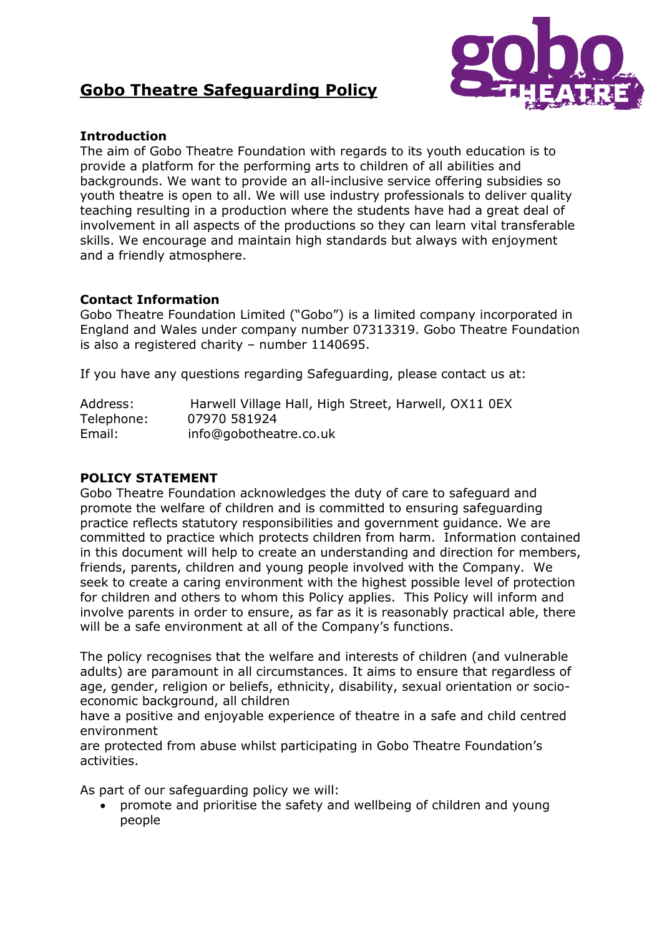



# **Introduction**

The aim of Gobo Theatre Foundation with regards to its youth education is to provide a platform for the performing arts to children of all abilities and backgrounds. We want to provide an all-inclusive service offering subsidies so youth theatre is open to all. We will use industry professionals to deliver quality teaching resulting in a production where the students have had a great deal of involvement in all aspects of the productions so they can learn vital transferable skills. We encourage and maintain high standards but always with enjoyment and a friendly atmosphere.

# **Contact Information**

Gobo Theatre Foundation Limited ("Gobo") is a limited company incorporated in England and Wales under company number 07313319. Gobo Theatre Foundation is also a registered charity – number 1140695.

If you have any questions regarding Safeguarding, please contact us at:

| Address:   | Harwell Village Hall, High Street, Harwell, OX11 0EX |
|------------|------------------------------------------------------|
| Telephone: | 07970 581924                                         |
| Email:     | info@gobotheatre.co.uk                               |

# **POLICY STATEMENT**

Gobo Theatre Foundation acknowledges the duty of care to safeguard and promote the welfare of children and is committed to ensuring safeguarding practice reflects statutory responsibilities and government guidance. We are committed to practice which protects children from harm. Information contained in this document will help to create an understanding and direction for members, friends, parents, children and young people involved with the Company. We seek to create a caring environment with the highest possible level of protection for children and others to whom this Policy applies. This Policy will inform and involve parents in order to ensure, as far as it is reasonably practical able, there will be a safe environment at all of the Company's functions.

The policy recognises that the welfare and interests of children (and vulnerable adults) are paramount in all circumstances. It aims to ensure that regardless of age, gender, religion or beliefs, ethnicity, disability, sexual orientation or socioeconomic background, all children

have a positive and enjoyable experience of theatre in a safe and child centred environment

are protected from abuse whilst participating in Gobo Theatre Foundation's activities.

As part of our safeguarding policy we will:

 promote and prioritise the safety and wellbeing of children and young people